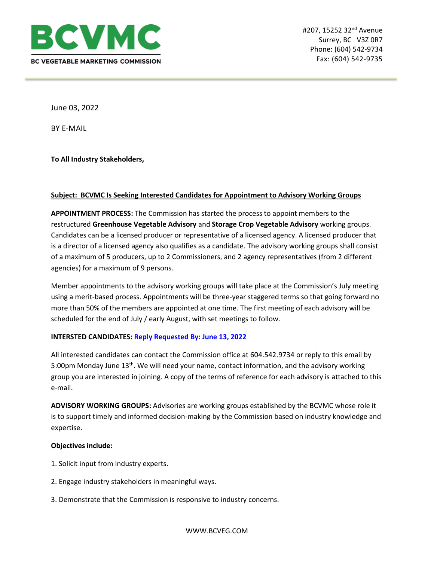

June 03, 2022

BY E-MAIL

**To All Industry Stakeholders,**

# **Subject: BCVMC Is Seeking Interested Candidates for Appointment to Advisory Working Groups**

**APPOINTMENT PROCESS:** The Commission has started the process to appoint members to the restructured **Greenhouse Vegetable Advisory** and **Storage Crop Vegetable Advisory** working groups. Candidates can be a licensed producer or representative of a licensed agency. A licensed producer that is a director of a licensed agency also qualifies as a candidate. The advisory working groups shall consist of a maximum of 5 producers, up to 2 Commissioners, and 2 agency representatives (from 2 different agencies) for a maximum of 9 persons.

Member appointments to the advisory working groups will take place at the Commission's July meeting using a merit-based process. Appointments will be three-year staggered terms so that going forward no more than 50% of the members are appointed at one time. The first meeting of each advisory will be scheduled for the end of July / early August, with set meetings to follow.

### **INTERSTED CANDIDATES: Reply Requested By: June 13, 2022**

All interested candidates can contact the Commission office at 604.542.9734 or reply to this email by 5:00pm Monday June 13<sup>th</sup>. We will need your name, contact information, and the advisory working group you are interested in joining. A copy of the terms of reference for each advisory is attached to this e-mail.

**ADVISORY WORKING GROUPS:** Advisories are working groups established by the BCVMC whose role it is to support timely and informed decision-making by the Commission based on industry knowledge and expertise.

## **Objectives include:**

- 1. Solicit input from industry experts.
- 2. Engage industry stakeholders in meaningful ways.
- 3. Demonstrate that the Commission is responsive to industry concerns.